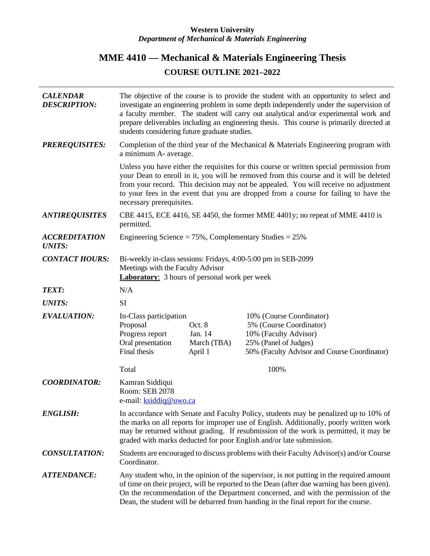## **Western University** *Department of Mechanical & Materials Engineering*

## **MME 4410 — Mechanical & Materials Engineering Thesis COURSE OUTLINE 2021–2022**

| <b>CALENDAR</b><br><b>DESCRIPTION:</b> | The objective of the course is to provide the student with an opportunity to select and<br>investigate an engineering problem in some depth independently under the supervision of<br>a faculty member. The student will carry out analytical and/or experimental work and<br>prepare deliverables including an engineering thesis. This course is primarily directed at<br>students considering future graduate studies. |                                             |                                                                                                                                                       |
|----------------------------------------|---------------------------------------------------------------------------------------------------------------------------------------------------------------------------------------------------------------------------------------------------------------------------------------------------------------------------------------------------------------------------------------------------------------------------|---------------------------------------------|-------------------------------------------------------------------------------------------------------------------------------------------------------|
| <b>PREREQUISITES:</b>                  | Completion of the third year of the Mechanical & Materials Engineering program with<br>a minimum A- average.                                                                                                                                                                                                                                                                                                              |                                             |                                                                                                                                                       |
|                                        | Unless you have either the requisites for this course or written special permission from<br>your Dean to enroll in it, you will be removed from this course and it will be deleted<br>from your record. This decision may not be appealed. You will receive no adjustment<br>to your fees in the event that you are dropped from a course for failing to have the<br>necessary prerequisites.                             |                                             |                                                                                                                                                       |
| <b>ANTIREQUISITES</b>                  | CBE 4415, ECE 4416, SE 4450, the former MME 4401y; no repeat of MME 4410 is<br>permitted.                                                                                                                                                                                                                                                                                                                                 |                                             |                                                                                                                                                       |
| <b>ACCREDITATION</b><br><b>UNITS:</b>  | Engineering Science = $75\%$ , Complementary Studies = $25\%$                                                                                                                                                                                                                                                                                                                                                             |                                             |                                                                                                                                                       |
| <b>CONTACT HOURS:</b>                  | Bi-weekly in-class sessions: Fridays, 4:00-5:00 pm in SEB-2099<br>Meetings with the Faculty Advisor<br><b>Laboratory:</b> 3 hours of personal work per week                                                                                                                                                                                                                                                               |                                             |                                                                                                                                                       |
| <b>TEXT:</b>                           | N/A                                                                                                                                                                                                                                                                                                                                                                                                                       |                                             |                                                                                                                                                       |
| <b>UNITS:</b>                          | <b>SI</b>                                                                                                                                                                                                                                                                                                                                                                                                                 |                                             |                                                                                                                                                       |
| <b>EVALUATION:</b>                     | In-Class participation<br>Proposal<br>Progress report<br>Oral presentation<br>Final thesis                                                                                                                                                                                                                                                                                                                                | Oct. 8<br>Jan. 14<br>March (TBA)<br>April 1 | 10% (Course Coordinator)<br>5% (Course Coordinator)<br>10% (Faculty Advisor)<br>25% (Panel of Judges)<br>50% (Faculty Advisor and Course Coordinator) |
|                                        | Total                                                                                                                                                                                                                                                                                                                                                                                                                     |                                             | 100%                                                                                                                                                  |
| <b>COORDINATOR:</b>                    | Kamran Siddiqui<br>Room: SEB 2078<br>e-mail: <b>ksiddiq@uwo.ca</b>                                                                                                                                                                                                                                                                                                                                                        |                                             |                                                                                                                                                       |
| <b>ENGLISH:</b>                        | In accordance with Senate and Faculty Policy, students may be penalized up to 10% of<br>the marks on all reports for improper use of English. Additionally, poorly written work<br>may be returned without grading. If resubmission of the work is permitted, it may be<br>graded with marks deducted for poor English and/or late submission.                                                                            |                                             |                                                                                                                                                       |
| <b>CONSULTATION:</b>                   | Students are encouraged to discuss problems with their Faculty Advisor(s) and/or Course<br>Coordinator.                                                                                                                                                                                                                                                                                                                   |                                             |                                                                                                                                                       |
| <b>ATTENDANCE:</b>                     | Any student who, in the opinion of the supervisor, is not putting in the required amount<br>of time on their project, will be reported to the Dean (after due warning has been given).<br>On the recommendation of the Department concerned, and with the permission of the<br>Dean, the student will be debarred from handing in the final report for the course.                                                        |                                             |                                                                                                                                                       |